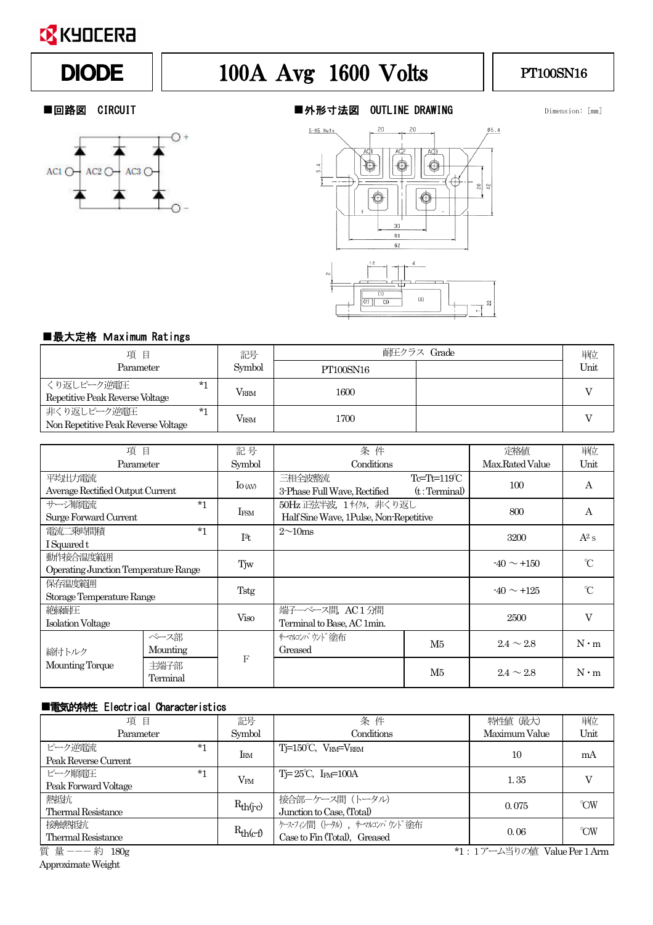

# DIODE | 100A Avg 1600 Volts | PT100SN16



#### ■回路図 CIRCUIT ■外形寸法図 OUTLINE DRAWING Dimension: [mm]



### ■最大定格 Maximum Ratings

| 項目                                                         | 記号          | 耐圧クラス Grade |  | 単位   |
|------------------------------------------------------------|-------------|-------------|--|------|
| Parameter                                                  | Symbol      | PT100SN16   |  | Unit |
| くり返しピーク逆雷圧<br>$*1$<br>Repetitive Peak Reverse Voltage      | <b>VRRM</b> | 1600        |  |      |
| 非くり返しピーク逆電圧<br>$*1$<br>Non Repetitive Peak Reverse Voltage | <b>VRSM</b> | 1700        |  |      |

| 項目                                               |                  | 記号               | 条件                                                                |                                      | 定格値             | 単位            |
|--------------------------------------------------|------------------|------------------|-------------------------------------------------------------------|--------------------------------------|-----------------|---------------|
| Parameter                                        |                  | Symbol           | Conditions                                                        |                                      | Max.Rated Value | Unit          |
| 平均出力電流<br>Average Rectified Output Current       |                  | $\Gamma$ to (AV) | 三相全波整流<br>3-Phase Full Wave, Rectified                            | $Te=Th=119^{\circ}C$<br>(t:Terminal) | 100             | A             |
| サージ順雷流<br>Surge Forward Current                  | $*1$             | IFSM             | 50Hz 正弦半波, 1サイクル, 非くり返し<br>Half Sine Wave, 1Pulse, Non-Repetitive |                                      | 800             | А             |
| 雷流二乗時間積<br>I Squared t                           | $*1$             | I <sup>2</sup> t | $2\sim10$ ms                                                      |                                      | 3200            | $A^2 s$       |
| 動作接合温度範囲<br>Operating Junction Temperature Range |                  | Tiw              |                                                                   |                                      | $-40 \sim +150$ | $\mathrm{C}$  |
| 保存温度範囲<br>Storage Temperature Range              |                  | Tstg             |                                                                   |                                      | $-40 \sim +125$ | $\mathcal{C}$ |
| 絶縁耐圧<br><b>Isolation Voltage</b>                 |                  | Viso             | 端子一ベース間、AC1分間<br>Terminal to Base, AC 1min.                       |                                      | 2500            | V             |
| 締付トルク<br>Mounting Torque                         | ベース部<br>Mounting | F                | サマルソパ ウノド 途布<br>Greased                                           | M5                                   | $2.4 \sim 2.8$  | $N \cdot m$   |
|                                                  | 主端子部<br>Terminal |                  |                                                                   | M5                                   | $2.4 \sim 2.8$  | $N \cdot m$   |

#### ■電気的特性 Electrical Characteristics

| 項目                        |      | 記号            | 条件                                   | 特性値 (最大)                    | 単位                               |
|---------------------------|------|---------------|--------------------------------------|-----------------------------|----------------------------------|
| Parameter                 |      | Symbol        | Conditions                           | Maximum Value               | Unit                             |
| ピーク逆雷流                    | $*1$ | $I_{RM}$      | $Ti=150^{\circ}C$ , $V_{RM}=V_{RRM}$ | 10                          | mA                               |
| Peak Reverse Current      |      |               |                                      |                             |                                  |
| ピーク順雷圧                    | $*1$ |               | $Ti=25^{\circ}C$ , $Im=100A$         | 1.35                        |                                  |
| Peak Forward Voltage      |      | $V_{FM}$      |                                      |                             |                                  |
| 熱抵抗                       |      |               | 接合部ーケース間(トータル)                       |                             | $\gamma$ <sup>o</sup> $\gamma$ W |
| <b>Thermal Resistance</b> |      | $R_{th(j-c)}$ | Junction to Case, (Total)            | 0.075                       |                                  |
| 接触熱抵抗                     |      |               | ケース・フィン間(トータル), サーマルコンパウンド塗布         |                             | $\gamma$ <sup>o</sup> $\gamma$ W |
| <b>Thermal Resistance</b> |      | $R_{th(c-f)}$ | Case to Fin (Total), Greased         | 0.06                        |                                  |
| 質 量 ---約 180g             |      |               |                                      | *1:1アーム当りの値 Value Per 1 Arm |                                  |

ApproximateWeight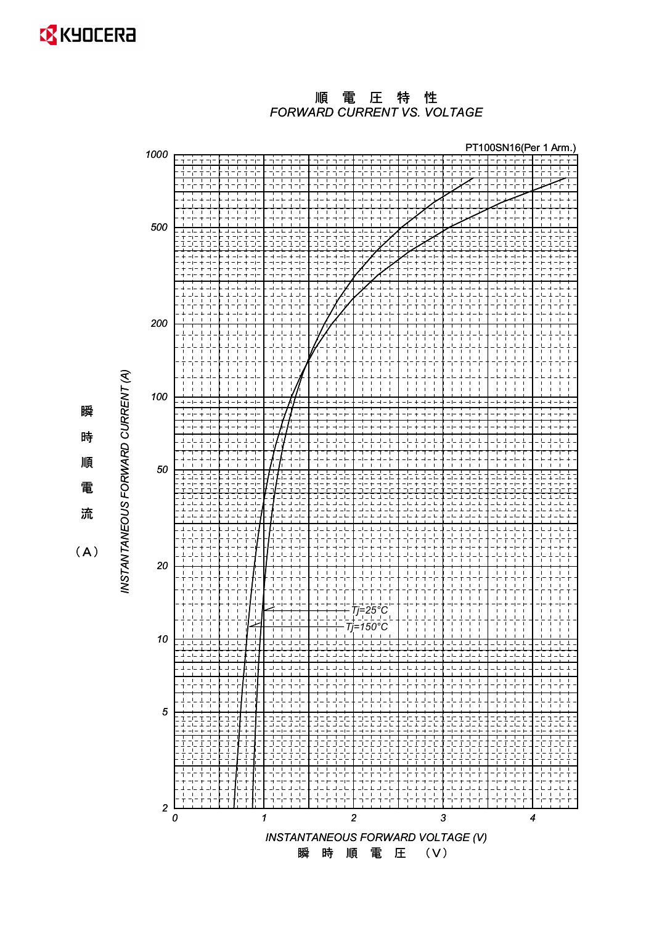

#### *FORWARD CURRENT VS. VOLTAGE* 順電圧特性



瞬 時 順 電 流

 $(A)$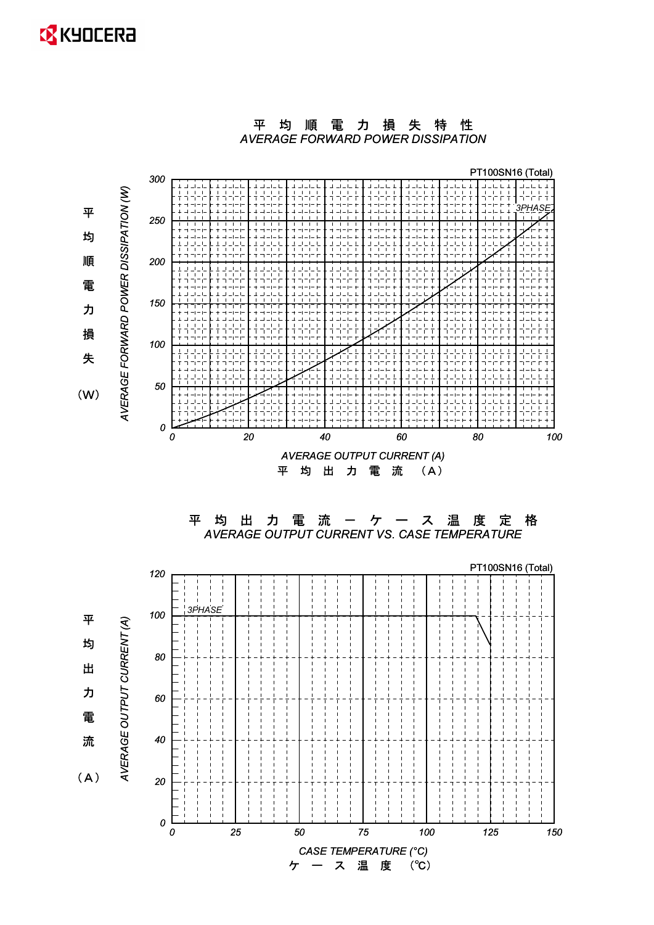## **EX** KYOCERA



平均順電力損失特性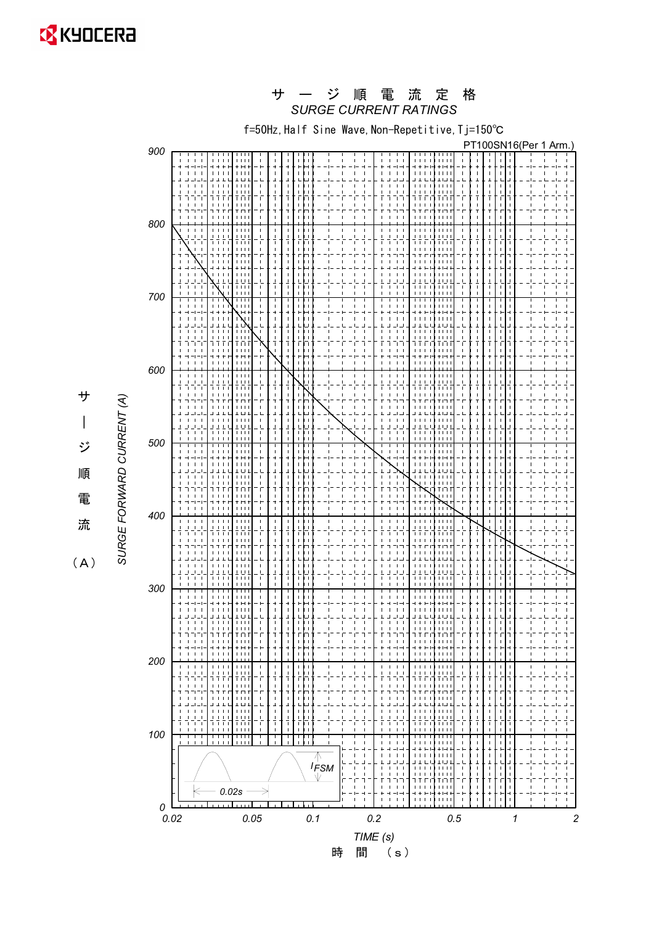**EX** KYOCERA

### ー ジ 順 電 流 定 格<br>*SURGE CURRENT RATINGS* サ ー ジ 順 電 流

f=50Hz, Half Sine Wave, Non-Repetitive, Tj=150°C



 $\overline{\phantom{a}}$ ジ 順 電 ὶ

 $(A)$ 

サ